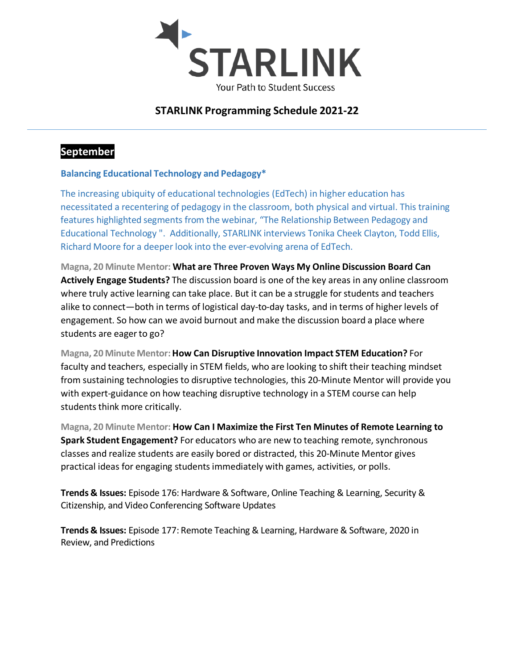

## **STARLINK Programming Schedule 2021-22**

### **September**

#### **Balancing Educational Technology and Pedagogy\***

The increasing ubiquity of educational technologies (EdTech) in higher education has necessitated a recentering of pedagogy in the classroom, both physical and virtual. This training features highlighted segments from the webinar, "The Relationship Between Pedagogy and Educational Technology ". Additionally, STARLINK interviews Tonika Cheek Clayton, Todd Ellis, Richard Moore for a deeper look into the ever-evolving arena of EdTech.

**Magna, 20 Minute Mentor: What are Three Proven Ways My Online Discussion Board Can Actively Engage Students?** The discussion board is one of the key areas in any online classroom where truly active learning can take place. But it can be a struggle for students and teachers alike to connect—both in terms of logistical day-to-day tasks, and in terms of higher levels of engagement. So how can we avoid burnout and make the discussion board a place where students are eager to go?

**Magna, 20 Minute Mentor:How Can Disruptive Innovation Impact STEM Education?** For faculty and teachers, especially in STEM fields, who are looking to shift their teaching mindset from sustaining technologies to disruptive technologies, this 20-Minute Mentor will provide you with expert-guidance on how teaching disruptive technology in a STEM course can help students think more critically.

**Magna, 20 Minute Mentor: How Can I Maximize the First Ten Minutes of Remote Learning to Spark Student Engagement?** For educators who are new to teaching remote, synchronous classes and realize students are easily bored or distracted, this 20-Minute Mentor gives practical ideas for engaging studentsimmediately with games, activities, or polls.

**Trends & Issues:** Episode 176: Hardware & Software, Online Teaching & Learning, Security & Citizenship, and Video Conferencing Software Updates

**Trends & Issues:** Episode 177: Remote Teaching & Learning, Hardware& Software, 2020 in Review, and Predictions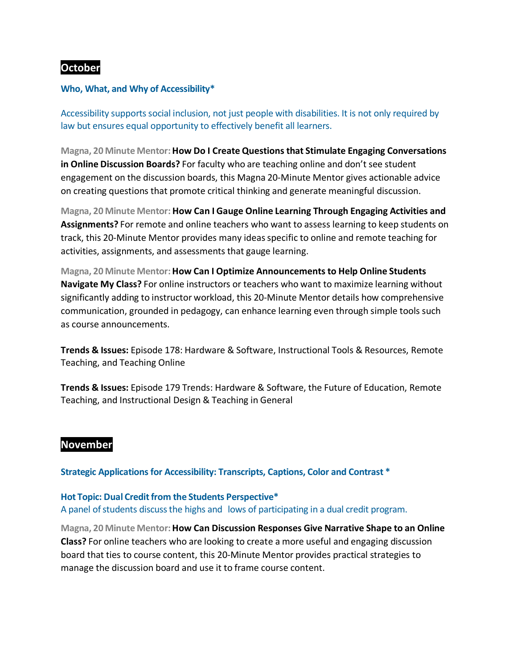### **October**

#### **Who, What, and Why of Accessibility\***

Accessibility supports social inclusion, not just people with disabilities. It is not only required by law but ensures equal opportunity to effectively benefit all learners.

**Magna, 20 Minute Mentor:How Do I Create Questions that Stimulate Engaging Conversations in Online Discussion Boards?** For faculty who are teaching online and don't see student engagement on the discussion boards, this Magna 20-Minute Mentor gives actionable advice on creating questions that promote critical thinking and generate meaningful discussion.

**Magna, 20 Minute Mentor: How Can I Gauge Online Learning Through Engaging Activities and Assignments?** For remote and online teachers who want to assess learning to keep students on track, this 20-Minute Mentor provides many ideasspecific to online and remote teaching for activities, assignments, and assessments that gauge learning.

**Magna, 20 Minute Mentor:How Can I Optimize Announcements to Help Online Students Navigate My Class?** For online instructors or teachers who want to maximize learning without significantly adding to instructor workload, this 20-Minute Mentor details how comprehensive communication, grounded in pedagogy, can enhance learning even through simple tools such as course announcements.

**Trends & Issues:** Episode 178: Hardware & Software, Instructional Tools & Resources, Remote Teaching, and Teaching Online

**Trends & Issues:** Episode 179 Trends: Hardware & Software, the Future of Education, Remote Teaching, and Instructional Design & Teaching in General

#### **November**

**Strategic Applications for Accessibility: Transcripts, Captions, Color and Contrast \***

#### **Hot Topic: Dual Credit from the Students Perspective\***

A panel of students discuss the highs and lows of participating in a dual credit program.

**Magna, 20 Minute Mentor:How Can Discussion Responses Give Narrative Shape to an Online Class?** For online teachers who are looking to create a more useful and engaging discussion board that ties to course content, this 20-Minute Mentor provides practical strategies to manage the discussion board and use it to frame course content.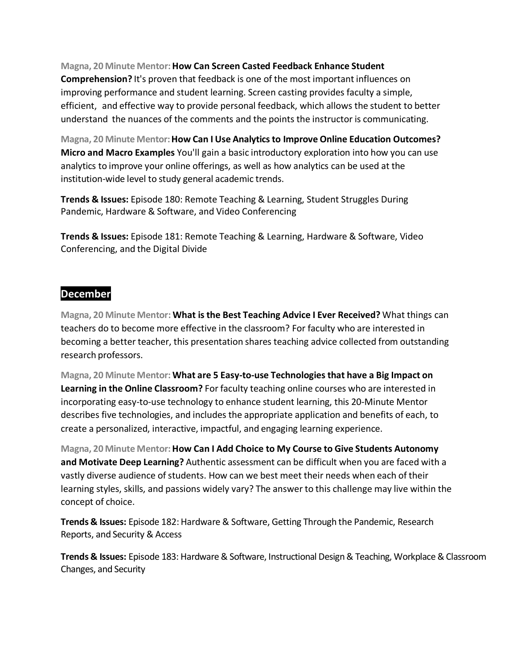#### **Magna, 20 Minute Mentor:How Can Screen Casted Feedback Enhance Student**

**Comprehension?** It's proven that feedback is one of the most important influences on improving performance and student learning. Screen casting provides faculty a simple, efficient, and effective way to provide personal feedback, which allows the student to better understand the nuances of the comments and the points the instructor is communicating.

**Magna, 20 Minute Mentor:How Can I Use Analytics to Improve Online Education Outcomes? Micro and Macro Examples** You'll gain a basic introductory exploration into how you can use analytics to improve your online offerings, as well as how analytics can be used at the institution-wide level to study general academic trends.

**Trends & Issues:** Episode 180: Remote Teaching & Learning, Student Struggles During Pandemic, Hardware & Software, and Video Conferencing

**Trends & Issues:** Episode 181: Remote Teaching & Learning, Hardware & Software, Video Conferencing, and the Digital Divide

### **December**

**Magna, 20 Minute Mentor: What is the Best Teaching Advice I Ever Received?** What things can teachers do to become more effective in the classroom? For faculty who are interested in becoming a better teacher, this presentation shares teaching advice collected from outstanding research professors.

**Magna, 20 Minute Mentor: What are 5 Easy-to-use Technologies that have a Big Impact on Learning in the Online Classroom?** For faculty teaching online courses who are interested in incorporating easy-to-use technology to enhance student learning, this 20-Minute Mentor describes five technologies, and includes the appropriate application and benefits of each, to create a personalized, interactive, impactful, and engaging learning experience.

**Magna, 20 Minute Mentor:How Can I Add Choice to My Course to Give Students Autonomy and Motivate Deep Learning?** Authentic assessment can be difficult when you are faced with a vastly diverse audience of students. How can we best meet their needs when each of their learning styles, skills, and passions widely vary? The answer to this challenge may live within the concept of choice.

**Trends & Issues:** Episode 182: Hardware & Software, Getting Through the Pandemic, Research Reports, and Security & Access

**Trends & Issues:** Episode 183: Hardware & Software, Instructional Design & Teaching, Workplace & Classroom Changes, and Security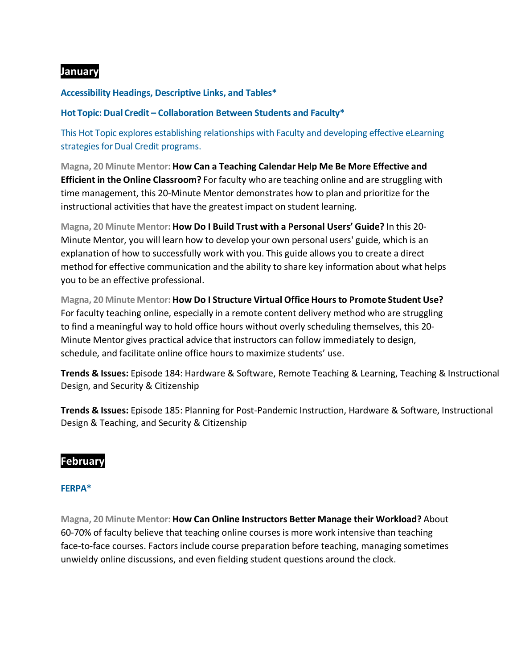### **January**

#### **Accessibility Headings, Descriptive Links, and Tables\***

**Hot Topic: Dual Credit – Collaboration Between Students and Faculty\***

This Hot Topic explores establishing relationships with Faculty and developing effective eLearning strategies for Dual Credit programs.

**Magna, 20 Minute Mentor: How Can a Teaching Calendar Help Me Be More Effective and Efficient in the Online Classroom?** For faculty who are teaching online and are struggling with time management, this 20-Minute Mentor demonstrates how to plan and prioritize forthe instructional activities that have the greatest impact on student learning.

**Magna, 20 Minute Mentor: How Do I Build Trust with a Personal Users' Guide?** In this 20- Minute Mentor, you will learn how to develop your own personal users' guide, which is an explanation of how to successfully work with you. This guide allows you to create a direct method for effective communication and the ability to share key information about what helps you to be an effective professional.

**Magna, 20 Minute Mentor: How Do I Structure Virtual Office Hours to Promote Student Use?** For faculty teaching online, especially in a remote content delivery method who are struggling to find a meaningful way to hold office hours without overly scheduling themselves, this 20- Minute Mentor gives practical advice that instructors can follow immediately to design, schedule, and facilitate online office hours to maximize students' use.

**Trends & Issues:** Episode 184: Hardware & Software, Remote Teaching & Learning, Teaching & Instructional Design, and Security & Citizenship

**Trends & Issues:** Episode 185: Planning for Post-Pandemic Instruction, Hardware & Software, Instructional Design & Teaching, and Security & Citizenship

### **February**

#### **FERPA\***

**Magna, 20 Minute Mentor: How Can Online Instructors Better Manage their Workload?** About 60-70% of faculty believe that teaching online courses is more work intensive than teaching face-to-face courses. Factors include course preparation before teaching, managing sometimes unwieldy online discussions, and even fielding student questions around the clock.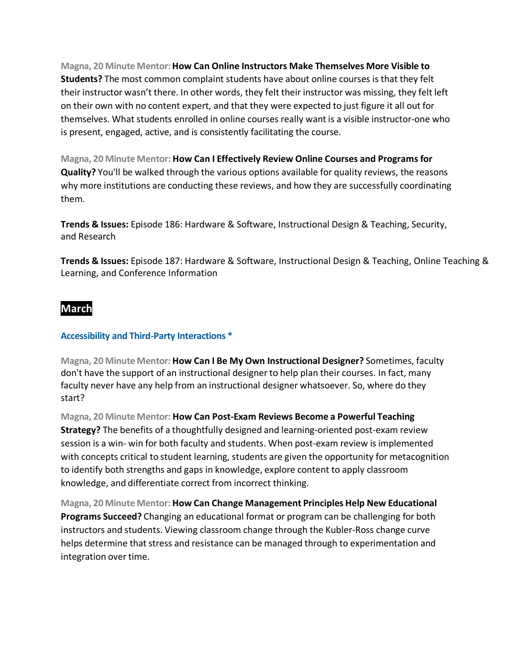**Magna, 20 Minute Mentor:How Can Online Instructors Make Themselves More Visible to Students?** The most common complaint students have about online courses is that they felt their instructor wasn't there. In other words, they felt their instructor was missing, they felt left on their own with no content expert, and that they were expected to just figure it all out for themselves. What students enrolled in online courses really want is a visible instructor-one who is present, engaged, active, and is consistently facilitating the course.

**Magna, 20 Minute Mentor: How Can I Effectively Review Online Courses and Programs for Quality?** You'll be walked through the various options available for quality reviews, the reasons why more institutions are conducting these reviews, and how they are successfully coordinating them.

**Trends & Issues:** Episode 186: Hardware & Software, Instructional Design & Teaching, Security, and Research

**Trends & Issues:** Episode 187: Hardware & Software, Instructional Design & Teaching, Online Teaching & Learning, and Conference Information

## **March**

#### **Accessibility and Third-Party Interactions \***

**Magna, 20 Minute Mentor: How Can I Be My Own Instructional Designer?** Sometimes, faculty don't have the support of an instructional designer to help plan their courses. In fact, many faculty never have any help from an instructional designer whatsoever. So, where do they start?

**Magna, 20 Minute Mentor: How Can Post-Exam Reviews Become a Powerful Teaching Strategy?** The benefits of a thoughtfully designed and learning-oriented post-exam review session is a win- win for both faculty and students. When post-exam review is implemented with concepts critical to student learning, students are given the opportunity for metacognition to identify both strengths and gaps in knowledge, explore content to apply classroom knowledge, and differentiate correct from incorrect thinking.

**Magna, 20 Minute Mentor: How Can Change Management Principles Help New Educational Programs Succeed?** Changing an educational format or program can be challenging for both instructors and students. Viewing classroom change through the Kubler-Ross change curve helps determine that stress and resistance can be managed through to experimentation and integration over time.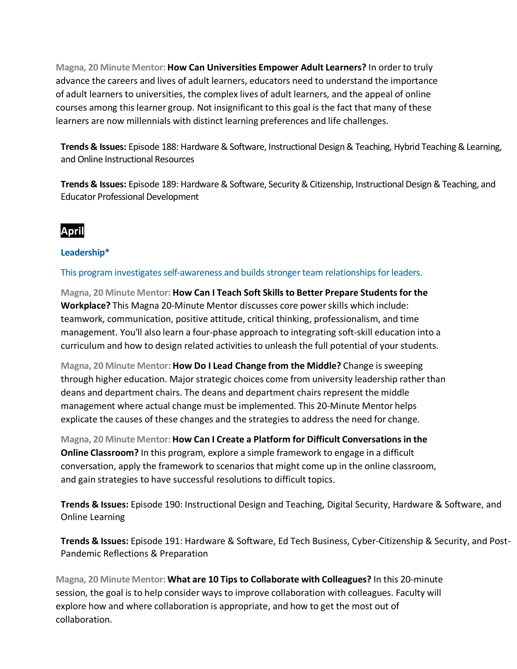**Magna, 20 Minute Mentor: How Can Universities Empower Adult Learners?** In orderto truly advance the careers and lives of adult learners, educators need to understand the importance of adult learners to universities, the complex lives of adult learners, and the appeal of online courses among this learner group. Not insignificant to this goal is the fact that many of these learners are now millennials with distinct learning preferences and life challenges.

**Trends & Issues:** Episode 188: Hardware & Software, Instructional Design & Teaching, Hybrid Teaching & Learning, and Online Instructional Resources

**Trends & Issues:** Episode 189: Hardware & Software, Security & Citizenship, Instructional Design & Teaching, and Educator Professional Development

## **April**

#### **Leadership\***

This program investigates self-awareness and builds stronger team relationships for leaders.

**Magna, 20 Minute Mentor: How Can I Teach Soft Skills to Better Prepare Students for the Workplace?** This Magna 20-Minute Mentor discusses core powerskills which include: teamwork, communication, positive attitude, critical thinking, professionalism, and time management. You'll also learn a four-phase approach to integrating soft-skill education into a curriculum and how to design related activities to unleash the full potential of yourstudents.

**Magna, 20 Minute Mentor: How Do I Lead Change from the Middle?** Change is sweeping through higher education. Major strategic choices come from university leadership rather than deans and department chairs. The deans and department chairs represent the middle management where actual change must be implemented. This 20-Minute Mentor helps explicate the causes of these changes and the strategies to address the need for change.

**Magna, 20 Minute Mentor: How Can I Create a Platform for Difficult Conversations in the Online Classroom?** In this program, explore a simple framework to engage in a difficult conversation, apply the framework to scenarios that might come up in the online classroom, and gain strategies to have successful resolutions to difficult topics.

**Trends & Issues:** Episode 190: Instructional Design and Teaching, Digital Security, Hardware & Software, and Online Learning

**Trends & Issues:** Episode 191: Hardware & Software, Ed Tech Business, Cyber-Citizenship & Security, and Post-Pandemic Reflections & Preparation

**Magna, 20 Minute Mentor: What are 10 Tips to Collaborate with Colleagues?** In this 20-minute session, the goal is to help consider ways to improve collaboration with colleagues. Faculty will explore how and where collaboration is appropriate, and how to get the most out of collaboration.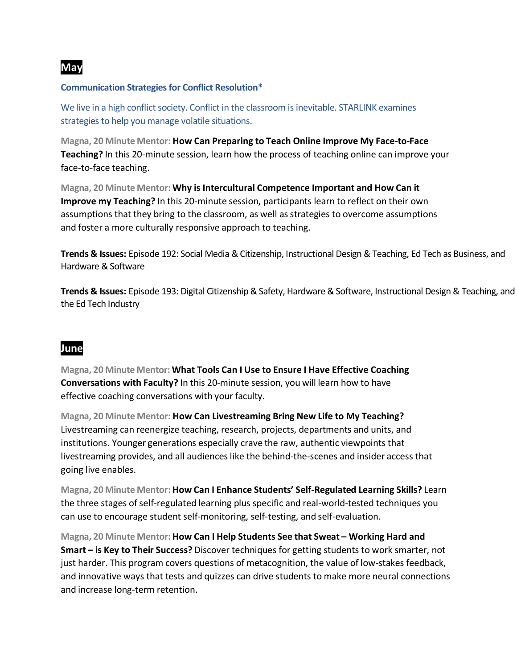

#### **Communication Strategies for Conflict Resolution\***

We live in a high conflict society. Conflict in the classroom is inevitable. STARLINK examines strategies to help you manage volatile situations.

**Magna, 20 Minute Mentor: How Can Preparing to Teach Online Improve My Face-to-Face Teaching?** In this 20-minute session, learn how the process of teaching online can improve your face-to-face teaching.

**Magna, 20 Minute Mentor: Why is Intercultural Competence Important and How Can it Improve my Teaching?** In this 20-minute session, participants learn to reflect on their own assumptions that they bring to the classroom, as well as strategies to overcome assumptions and foster a more culturally responsive approach to teaching.

**Trends & Issues:** Episode 192: Social Media & Citizenship, Instructional Design & Teaching, Ed Tech as Business, and Hardware & Software

**Trends & Issues:** Episode 193: Digital Citizenship & Safety, Hardware & Software, Instructional Design & Teaching, and the Ed Tech Industry

## **June**

**Magna, 20 Minute Mentor: What Tools Can I Use to Ensure I Have Effective Coaching Conversations with Faculty?** In this 20-minute session, you will learn how to have effective coaching conversations with your faculty.

**Magna, 20 Minute Mentor: How Can Livestreaming Bring New Life to My Teaching?** Livestreaming can reenergize teaching, research, projects, departments and units, and institutions. Younger generations especially crave the raw, authentic viewpoints that livestreaming provides, and all audiences like the behind-the-scenes and insider access that going live enables.

**Magna, 20 Minute Mentor: How Can I Enhance Students' Self-Regulated Learning Skills?** Learn the three stages of self-regulated learning plus specific and real-world-tested techniques you can use to encourage student self-monitoring, self-testing, and self-evaluation.

**Magna, 20 Minute Mentor: How Can I Help Students See that Sweat – Working Hard and Smart – is Key to Their Success?** Discover techniques for getting students to work smarter, not just harder. This program covers questions of metacognition, the value of low-stakes feedback, and innovative ways that tests and quizzes can drive students to make more neural connections and increase long-term retention.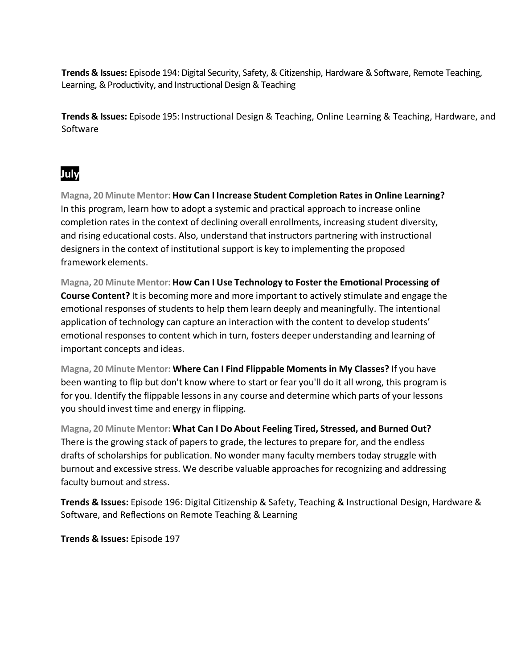**Trends & Issues:** Episode 194: Digital Security, Safety, & Citizenship, Hardware & Software, Remote Teaching, Learning, & Productivity, and Instructional Design & Teaching

**Trends & Issues:** Episode 195: Instructional Design & Teaching, Online Learning & Teaching, Hardware, and Software

# **July**

**Magna, 20 Minute Mentor: How Can I Increase Student Completion Rates in Online Learning?** In this program, learn how to adopt a systemic and practical approach to increase online completion rates in the context of declining overall enrollments, increasing student diversity, and rising educational costs. Also, understand that instructors partnering with instructional designers in the context of institutional support is key to implementing the proposed framework elements.

**Magna, 20 Minute Mentor: How Can I Use Technology to Foster the Emotional Processing of Course Content?** It is becoming more and more important to actively stimulate and engage the emotional responses of students to help them learn deeply and meaningfully. The intentional application of technology can capture an interaction with the content to develop students' emotional responses to content which in turn, fosters deeper understanding and learning of important concepts and ideas.

**Magna, 20 Minute Mentor: Where Can I Find Flippable Moments in My Classes?** If you have been wanting to flip but don't know where to start or fear you'll do it all wrong, this program is for you. Identify the flippable lessons in any course and determine which parts of your lessons you should invest time and energy in flipping.

**Magna, 20 Minute Mentor: What Can I Do About Feeling Tired, Stressed, and Burned Out?** There is the growing stack of papers to grade, the lectures to prepare for, and the endless drafts of scholarships for publication. No wonder many faculty members today struggle with burnout and excessive stress. We describe valuable approaches for recognizing and addressing faculty burnout and stress.

**Trends & Issues:** Episode 196: Digital Citizenship & Safety, Teaching & Instructional Design, Hardware & Software, and Reflections on Remote Teaching & Learning

**Trends & Issues:** Episode 197